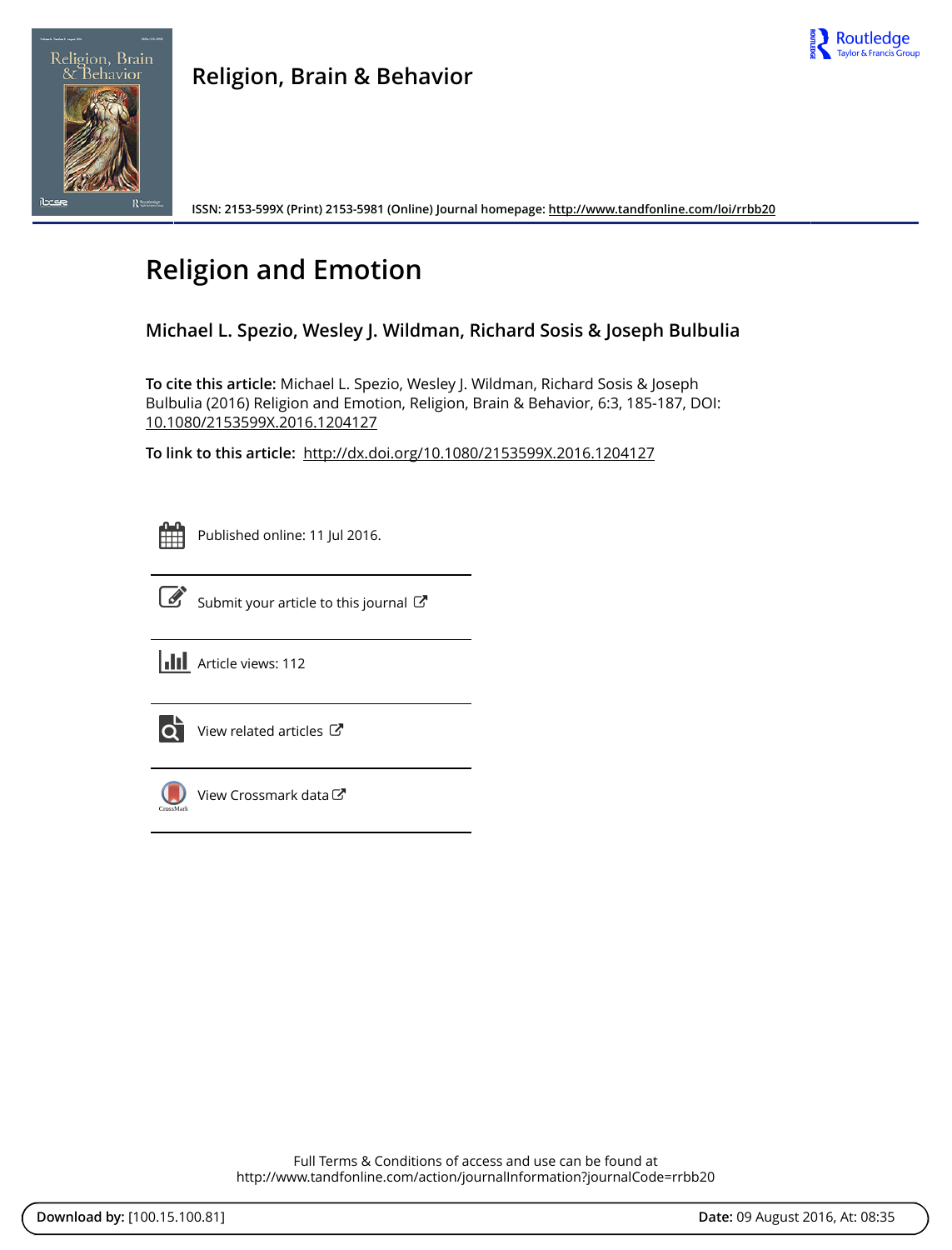



**ISSN: 2153-599X (Print) 2153-5981 (Online) Journal homepage: <http://www.tandfonline.com/loi/rrbb20>**

# **Religion and Emotion**

# **Michael L. Spezio, Wesley J. Wildman, Richard Sosis & Joseph Bulbulia**

**To cite this article:** Michael L. Spezio, Wesley J. Wildman, Richard Sosis & Joseph Bulbulia (2016) Religion and Emotion, Religion, Brain & Behavior, 6:3, 185-187, DOI: [10.1080/2153599X.2016.1204127](http://www.tandfonline.com/action/showCitFormats?doi=10.1080/2153599X.2016.1204127)

**To link to this article:** <http://dx.doi.org/10.1080/2153599X.2016.1204127>



Published online: 11 Jul 2016.



 $\overrightarrow{S}$  [Submit your article to this journal](http://www.tandfonline.com/action/authorSubmission?journalCode=rrbb20&page=instructions)  $G$ 





 $\overrightarrow{Q}$  [View related articles](http://www.tandfonline.com/doi/mlt/10.1080/2153599X.2016.1204127)  $\overrightarrow{C}$ 



[View Crossmark data](http://crossmark.crossref.org/dialog/?doi=10.1080/2153599X.2016.1204127&domain=pdf&date_stamp=2016-07-11)

Full Terms & Conditions of access and use can be found at <http://www.tandfonline.com/action/journalInformation?journalCode=rrbb20>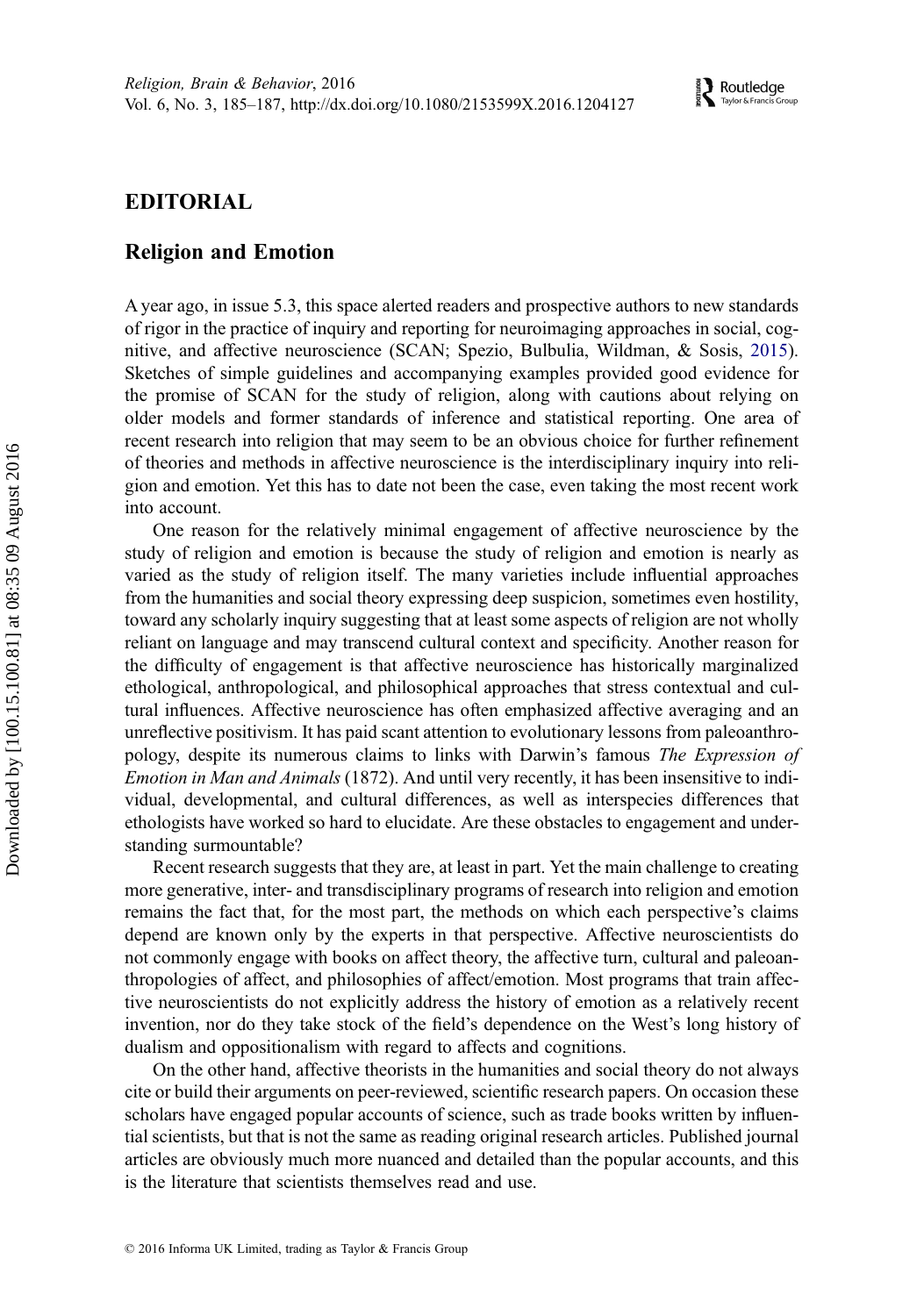## <span id="page-1-0"></span>EDITORIAL

### Religion and Emotion

A year ago, in issue 5.3, this space alerted readers and prospective authors to new standards of rigor in the practice of inquiry and reporting for neuroimaging approaches in social, cognitive, and affective neuroscience (SCAN; Spezio, Bulbulia, Wildman, & Sosis, [2015\)](#page-3-0). Sketches of simple guidelines and accompanying examples provided good evidence for the promise of SCAN for the study of religion, along with cautions about relying on older models and former standards of inference and statistical reporting. One area of recent research into religion that may seem to be an obvious choice for further refinement of theories and methods in affective neuroscience is the interdisciplinary inquiry into religion and emotion. Yet this has to date not been the case, even taking the most recent work into account.

One reason for the relatively minimal engagement of affective neuroscience by the study of religion and emotion is because the study of religion and emotion is nearly as varied as the study of religion itself. The many varieties include influential approaches from the humanities and social theory expressing deep suspicion, sometimes even hostility, toward any scholarly inquiry suggesting that at least some aspects of religion are not wholly reliant on language and may transcend cultural context and specificity. Another reason for the difficulty of engagement is that affective neuroscience has historically marginalized ethological, anthropological, and philosophical approaches that stress contextual and cultural influences. Affective neuroscience has often emphasized affective averaging and an unreflective positivism. It has paid scant attention to evolutionary lessons from paleoanthropology, despite its numerous claims to links with Darwin's famous The Expression of Emotion in Man and Animals (1872). And until very recently, it has been insensitive to individual, developmental, and cultural differences, as well as interspecies differences that ethologists have worked so hard to elucidate. Are these obstacles to engagement and understanding surmountable?

Recent research suggests that they are, at least in part. Yet the main challenge to creating more generative, inter- and transdisciplinary programs of research into religion and emotion remains the fact that, for the most part, the methods on which each perspective's claims depend are known only by the experts in that perspective. Affective neuroscientists do not commonly engage with books on affect theory, the affective turn, cultural and paleoanthropologies of affect, and philosophies of affect/emotion. Most programs that train affective neuroscientists do not explicitly address the history of emotion as a relatively recent invention, nor do they take stock of the field's dependence on the West's long history of dualism and oppositionalism with regard to affects and cognitions.

On the other hand, affective theorists in the humanities and social theory do not always cite or build their arguments on peer-reviewed, scientific research papers. On occasion these scholars have engaged popular accounts of science, such as trade books written by influential scientists, but that is not the same as reading original research articles. Published journal articles are obviously much more nuanced and detailed than the popular accounts, and this is the literature that scientists themselves read and use.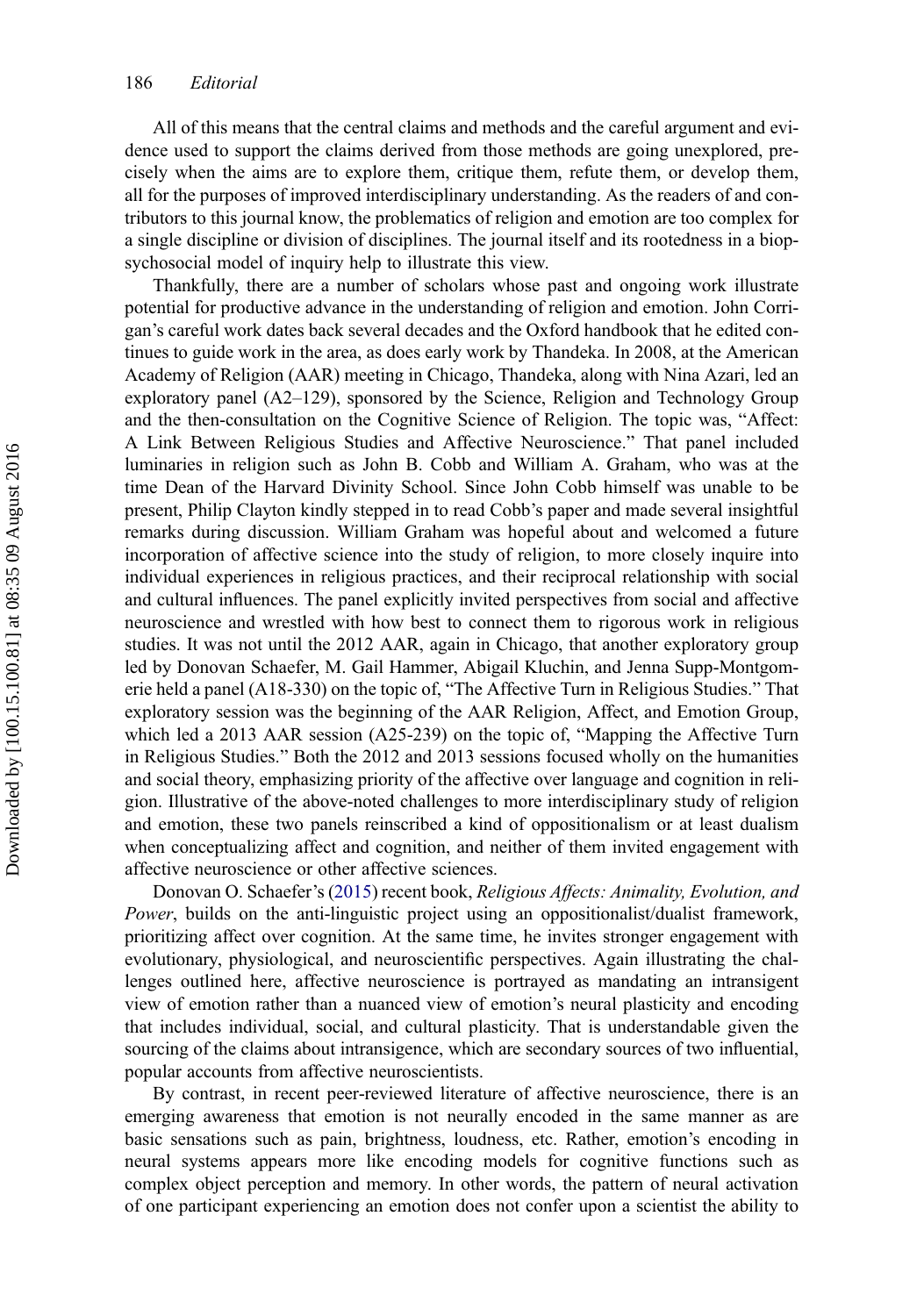<span id="page-2-0"></span>All of this means that the central claims and methods and the careful argument and evidence used to support the claims derived from those methods are going unexplored, precisely when the aims are to explore them, critique them, refute them, or develop them, all for the purposes of improved interdisciplinary understanding. As the readers of and contributors to this journal know, the problematics of religion and emotion are too complex for a single discipline or division of disciplines. The journal itself and its rootedness in a biopsychosocial model of inquiry help to illustrate this view.

Thankfully, there are a number of scholars whose past and ongoing work illustrate potential for productive advance in the understanding of religion and emotion. John Corrigan's careful work dates back several decades and the Oxford handbook that he edited continues to guide work in the area, as does early work by Thandeka. In 2008, at the American Academy of Religion (AAR) meeting in Chicago, Thandeka, along with Nina Azari, led an exploratory panel (A2–129), sponsored by the Science, Religion and Technology Group and the then-consultation on the Cognitive Science of Religion. The topic was, "Affect: A Link Between Religious Studies and Affective Neuroscience." That panel included luminaries in religion such as John B. Cobb and William A. Graham, who was at the time Dean of the Harvard Divinity School. Since John Cobb himself was unable to be present, Philip Clayton kindly stepped in to read Cobb's paper and made several insightful remarks during discussion. William Graham was hopeful about and welcomed a future incorporation of affective science into the study of religion, to more closely inquire into individual experiences in religious practices, and their reciprocal relationship with social and cultural influences. The panel explicitly invited perspectives from social and affective neuroscience and wrestled with how best to connect them to rigorous work in religious studies. It was not until the 2012 AAR, again in Chicago, that another exploratory group led by Donovan Schaefer, M. Gail Hammer, Abigail Kluchin, and Jenna Supp-Montgomerie held a panel (A18-330) on the topic of, "The Affective Turn in Religious Studies." That exploratory session was the beginning of the AAR Religion, Affect, and Emotion Group, which led a 2013 AAR session (A25-239) on the topic of, "Mapping the Affective Turn in Religious Studies." Both the 2012 and 2013 sessions focused wholly on the humanities and social theory, emphasizing priority of the affective over language and cognition in religion. Illustrative of the above-noted challenges to more interdisciplinary study of religion and emotion, these two panels reinscribed a kind of oppositionalism or at least dualism when conceptualizing affect and cognition, and neither of them invited engagement with affective neuroscience or other affective sciences.

Donovan O. Schaefer's ([2015\)](#page-3-0) recent book, Religious Affects: Animality, Evolution, and Power, builds on the anti-linguistic project using an oppositionalist/dualist framework, prioritizing affect over cognition. At the same time, he invites stronger engagement with evolutionary, physiological, and neuroscientific perspectives. Again illustrating the challenges outlined here, affective neuroscience is portrayed as mandating an intransigent view of emotion rather than a nuanced view of emotion's neural plasticity and encoding that includes individual, social, and cultural plasticity. That is understandable given the sourcing of the claims about intransigence, which are secondary sources of two influential, popular accounts from affective neuroscientists.

By contrast, in recent peer-reviewed literature of affective neuroscience, there is an emerging awareness that emotion is not neurally encoded in the same manner as are basic sensations such as pain, brightness, loudness, etc. Rather, emotion's encoding in neural systems appears more like encoding models for cognitive functions such as complex object perception and memory. In other words, the pattern of neural activation of one participant experiencing an emotion does not confer upon a scientist the ability to